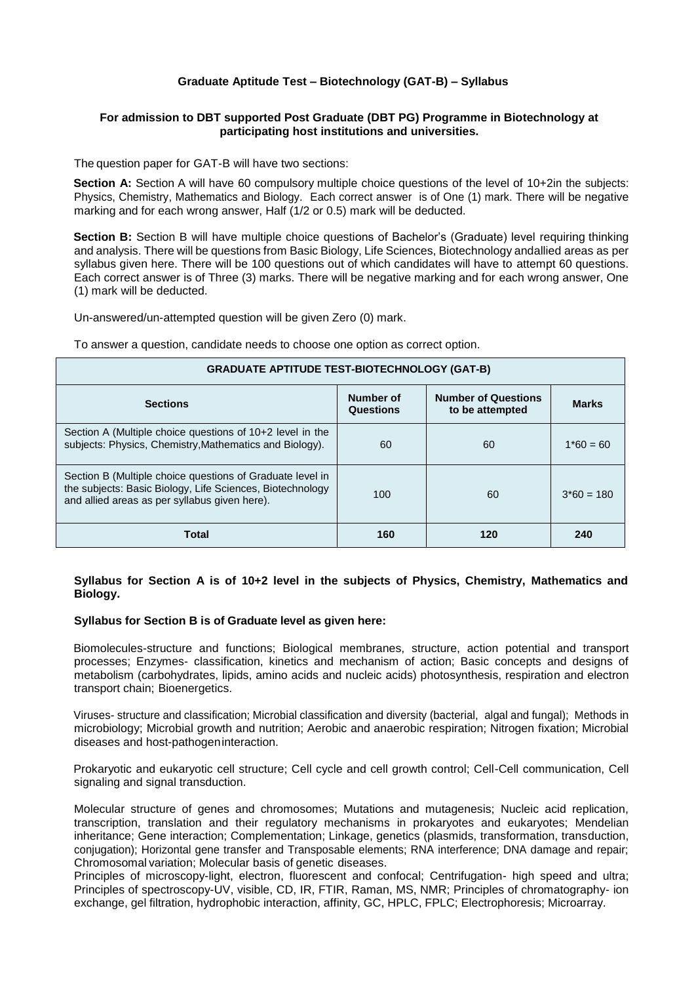## **Graduate Aptitude Test – Biotechnology (GAT-B) – Syllabus**

## **For admission to DBT supported Post Graduate (DBT PG) Programme in Biotechnology at participating host institutions and universities.**

The question paper for GAT-B will have two sections:

**Section A:** Section A will have 60 compulsory multiple choice questions of the level of 10+2in the subjects: Physics, Chemistry, Mathematics and Biology. Each correct answer is of One (1) mark. There will be negative marking and for each wrong answer, Half (1/2 or 0.5) mark will be deducted.

**Section B:** Section B will have multiple choice questions of Bachelor's (Graduate) level requiring thinking and analysis. There will be questions from Basic Biology, Life Sciences, Biotechnology andallied areas as per syllabus given here. There will be 100 questions out of which candidates will have to attempt 60 questions. Each correct answer is of Three (3) marks. There will be negative marking and for each wrong answer, One (1) mark will be deducted.

Un-answered/un-attempted question will be given Zero (0) mark.

To answer a question, candidate needs to choose one option as correct option.

| <b>GRADUATE APTITUDE TEST-BIOTECHNOLOGY (GAT-B)</b>                                                                                                                     |                        |                                               |              |
|-------------------------------------------------------------------------------------------------------------------------------------------------------------------------|------------------------|-----------------------------------------------|--------------|
| <b>Sections</b>                                                                                                                                                         | Number of<br>Questions | <b>Number of Questions</b><br>to be attempted | <b>Marks</b> |
| Section A (Multiple choice questions of 10+2 level in the<br>subjects: Physics, Chemistry, Mathematics and Biology).                                                    | 60                     | 60                                            | $1*60 = 60$  |
| Section B (Multiple choice questions of Graduate level in<br>the subjects: Basic Biology, Life Sciences, Biotechnology<br>and allied areas as per syllabus given here). | 100                    | 60                                            | $3*60 = 180$ |
| <b>Total</b>                                                                                                                                                            | 160                    | 120                                           | 240          |

## **Syllabus for Section A is of 10+2 level in the subjects of Physics, Chemistry, Mathematics and Biology.**

## **Syllabus for Section B is of Graduate level as given here:**

Biomolecules-structure and functions; Biological membranes, structure, action potential and transport processes; Enzymes- classification, kinetics and mechanism of action; Basic concepts and designs of metabolism (carbohydrates, lipids, amino acids and nucleic acids) photosynthesis, respiration and electron transport chain; Bioenergetics.

Viruses- structure and classification; Microbial classification and diversity (bacterial, algal and fungal); Methods in microbiology; Microbial growth and nutrition; Aerobic and anaerobic respiration; Nitrogen fixation; Microbial diseases and host-pathogeninteraction.

Prokaryotic and eukaryotic cell structure; Cell cycle and cell growth control; Cell-Cell communication, Cell signaling and signal transduction.

Molecular structure of genes and chromosomes; Mutations and mutagenesis; Nucleic acid replication, transcription, translation and their regulatory mechanisms in prokaryotes and eukaryotes; Mendelian inheritance; Gene interaction; Complementation; Linkage, genetics (plasmids, transformation, transduction, conjugation); Horizontal gene transfer and Transposable elements; RNA interference; DNA damage and repair; Chromosomal variation; Molecular basis of genetic diseases.

Principles of microscopy-light, electron, fluorescent and confocal; Centrifugation- high speed and ultra; Principles of spectroscopy-UV, visible, CD, IR, FTIR, Raman, MS, NMR; Principles of chromatography- ion exchange, gel filtration, hydrophobic interaction, affinity, GC, HPLC, FPLC; Electrophoresis; Microarray.